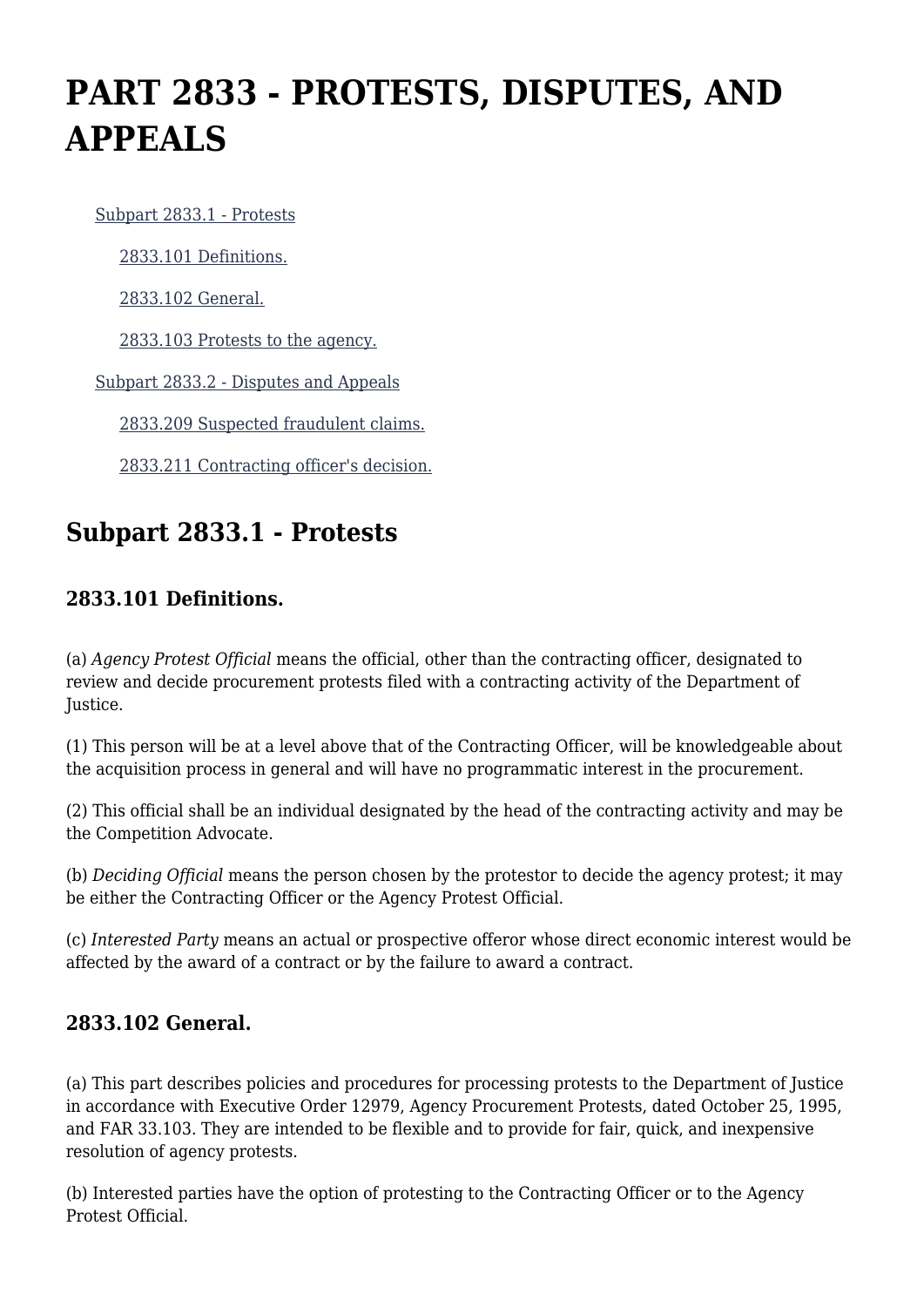# **PART 2833 - PROTESTS, DISPUTES, AND APPEALS**

[Subpart 2833.1 - Protests](https://login.acquisition.gov/%5Brp:link:jar-part-2833%5D#Subpart_2833_1_T48_601164281)

[2833.101 Definitions.](https://login.acquisition.gov/%5Brp:link:jar-part-2833%5D#Section_2833_101_T48_60116428111)

[2833.102 General.](https://login.acquisition.gov/%5Brp:link:jar-part-2833%5D#Section_2833_102_T48_60116428112)

[2833.103 Protests to the agency.](https://login.acquisition.gov/%5Brp:link:jar-part-2833%5D#Section_2833_103_T48_60116428113)

[Subpart 2833.2 - Disputes and Appeals](https://login.acquisition.gov/%5Brp:link:jar-part-2833%5D#Subpart_2833_2_T48_601164282)

[2833.209 Suspected fraudulent claims.](https://login.acquisition.gov/%5Brp:link:jar-part-2833%5D#Section_2833_209_T48_60116428211)

[2833.211 Contracting officer's decision.](https://login.acquisition.gov/%5Brp:link:jar-part-2833%5D#Section_2833_211_T48_60116428212)

## **Subpart 2833.1 - Protests**

#### **2833.101 Definitions.**

(a) *Agency Protest Official* means the official, other than the contracting officer, designated to review and decide procurement protests filed with a contracting activity of the Department of Justice.

(1) This person will be at a level above that of the Contracting Officer, will be knowledgeable about the acquisition process in general and will have no programmatic interest in the procurement.

(2) This official shall be an individual designated by the head of the contracting activity and may be the Competition Advocate.

(b) *Deciding Official* means the person chosen by the protestor to decide the agency protest; it may be either the Contracting Officer or the Agency Protest Official.

(c) *Interested Party* means an actual or prospective offeror whose direct economic interest would be affected by the award of a contract or by the failure to award a contract.

#### **2833.102 General.**

(a) This part describes policies and procedures for processing protests to the Department of Justice in accordance with Executive Order 12979, Agency Procurement Protests, dated October 25, 1995, and FAR 33.103. They are intended to be flexible and to provide for fair, quick, and inexpensive resolution of agency protests.

(b) Interested parties have the option of protesting to the Contracting Officer or to the Agency Protest Official.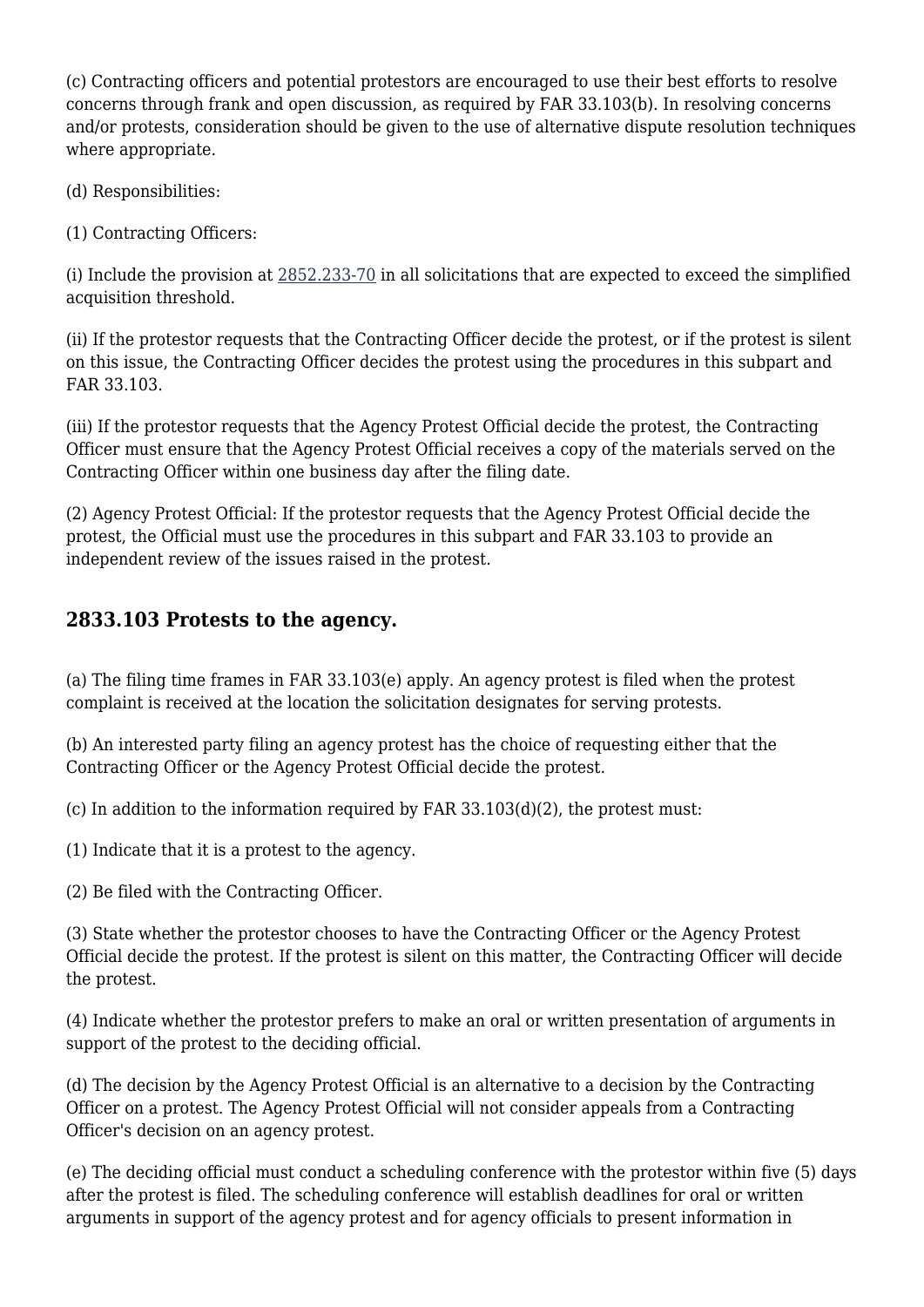(c) Contracting officers and potential protestors are encouraged to use their best efforts to resolve concerns through frank and open discussion, as required by FAR 33.103(b). In resolving concerns and/or protests, consideration should be given to the use of alternative dispute resolution techniques where appropriate.

(d) Responsibilities:

(1) Contracting Officers:

(i) Include the provision at [2852.233-70](https://login.acquisition.gov/%5Brp:link:jar-part-2852%5D#Section_2852_233_70_T48_60116733214) in all solicitations that are expected to exceed the simplified acquisition threshold.

(ii) If the protestor requests that the Contracting Officer decide the protest, or if the protest is silent on this issue, the Contracting Officer decides the protest using the procedures in this subpart and FAR 33.103.

(iii) If the protestor requests that the Agency Protest Official decide the protest, the Contracting Officer must ensure that the Agency Protest Official receives a copy of the materials served on the Contracting Officer within one business day after the filing date.

(2) Agency Protest Official: If the protestor requests that the Agency Protest Official decide the protest, the Official must use the procedures in this subpart and FAR 33.103 to provide an independent review of the issues raised in the protest.

#### **2833.103 Protests to the agency.**

(a) The filing time frames in FAR 33.103(e) apply. An agency protest is filed when the protest complaint is received at the location the solicitation designates for serving protests.

(b) An interested party filing an agency protest has the choice of requesting either that the Contracting Officer or the Agency Protest Official decide the protest.

(c) In addition to the information required by FAR  $33.103(d)(2)$ , the protest must:

(1) Indicate that it is a protest to the agency.

(2) Be filed with the Contracting Officer.

(3) State whether the protestor chooses to have the Contracting Officer or the Agency Protest Official decide the protest. If the protest is silent on this matter, the Contracting Officer will decide the protest.

(4) Indicate whether the protestor prefers to make an oral or written presentation of arguments in support of the protest to the deciding official.

(d) The decision by the Agency Protest Official is an alternative to a decision by the Contracting Officer on a protest. The Agency Protest Official will not consider appeals from a Contracting Officer's decision on an agency protest.

(e) The deciding official must conduct a scheduling conference with the protestor within five (5) days after the protest is filed. The scheduling conference will establish deadlines for oral or written arguments in support of the agency protest and for agency officials to present information in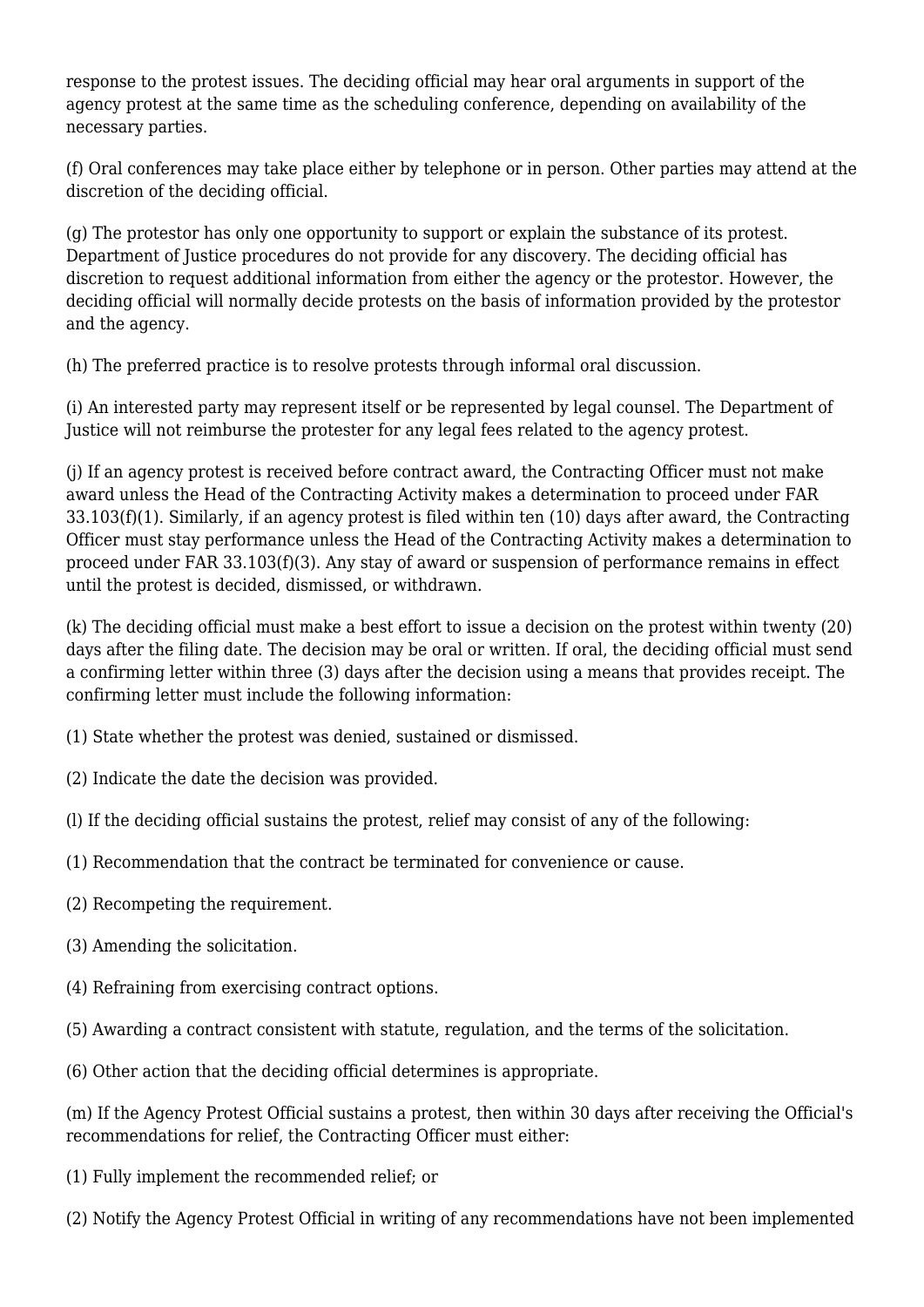response to the protest issues. The deciding official may hear oral arguments in support of the agency protest at the same time as the scheduling conference, depending on availability of the necessary parties.

(f) Oral conferences may take place either by telephone or in person. Other parties may attend at the discretion of the deciding official.

(g) The protestor has only one opportunity to support or explain the substance of its protest. Department of Justice procedures do not provide for any discovery. The deciding official has discretion to request additional information from either the agency or the protestor. However, the deciding official will normally decide protests on the basis of information provided by the protestor and the agency.

(h) The preferred practice is to resolve protests through informal oral discussion.

(i) An interested party may represent itself or be represented by legal counsel. The Department of Justice will not reimburse the protester for any legal fees related to the agency protest.

(j) If an agency protest is received before contract award, the Contracting Officer must not make award unless the Head of the Contracting Activity makes a determination to proceed under FAR 33.103(f)(1). Similarly, if an agency protest is filed within ten (10) days after award, the Contracting Officer must stay performance unless the Head of the Contracting Activity makes a determination to proceed under FAR 33.103(f)(3). Any stay of award or suspension of performance remains in effect until the protest is decided, dismissed, or withdrawn.

(k) The deciding official must make a best effort to issue a decision on the protest within twenty (20) days after the filing date. The decision may be oral or written. If oral, the deciding official must send a confirming letter within three (3) days after the decision using a means that provides receipt. The confirming letter must include the following information:

- (1) State whether the protest was denied, sustained or dismissed.
- (2) Indicate the date the decision was provided.
- (l) If the deciding official sustains the protest, relief may consist of any of the following:
- (1) Recommendation that the contract be terminated for convenience or cause.
- (2) Recompeting the requirement.
- (3) Amending the solicitation.
- (4) Refraining from exercising contract options.
- (5) Awarding a contract consistent with statute, regulation, and the terms of the solicitation.
- (6) Other action that the deciding official determines is appropriate.

(m) If the Agency Protest Official sustains a protest, then within 30 days after receiving the Official's recommendations for relief, the Contracting Officer must either:

- (1) Fully implement the recommended relief; or
- (2) Notify the Agency Protest Official in writing of any recommendations have not been implemented